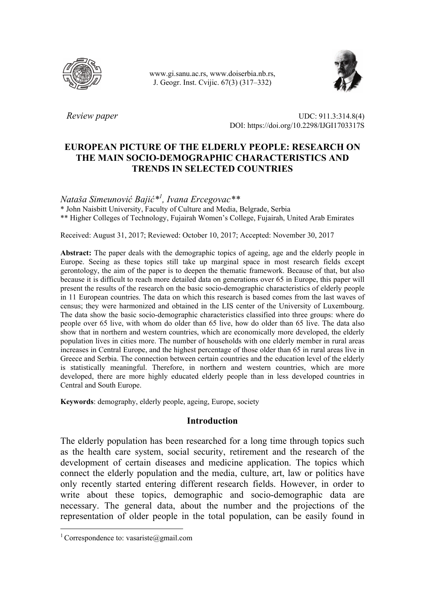

 www.gi.sanu.ac.rs, www.doiserbia.nb.rs, J. Geogr. Inst. Cvijic. 67(3) (317–332)



*Review paper* UDC: 911.3:314.8(4) DOI: https://doi.org/10.2298/IJGI1703317S

# **EUROPEAN PICTURE OF THE ELDERLY PEOPLE: RESEARCH ON THE MAIN SOCIO-DEMOGRAPHIC CHARACTERISTICS AND TRENDS IN SELECTED COUNTRIES**

*Nataša Simeunović Bajić\*1 , Ivana Ercegovac\*\** 

\* John Naisbitt University, Faculty of Culture and Media, Belgrade, Serbia

\*\* Higher Colleges of Technology, Fujairah Women's College, Fujairah, United Arab Emirates

Received: August 31, 2017; Reviewed: October 10, 2017; Accepted: November 30, 2017

**Abstract:** The paper deals with the demographic topics of ageing, age and the elderly people in Europe. Seeing as these topics still take up marginal space in most research fields except gerontology, the aim of the paper is to deepen the thematic framework. Because of that, but also because it is difficult to reach more detailed data on generations over 65 in Europe, this paper will present the results of the research on the basic socio-demographic characteristics of elderly people in 11 European countries. The data on which this research is based comes from the last waves of census; they were harmonized and obtained in the LIS center of the University of Luxembourg. The data show the basic socio-demographic characteristics classified into three groups: where do people over 65 live, with whom do older than 65 live, how do older than 65 live. The data also show that in northern and western countries, which are economically more developed, the elderly population lives in cities more. The number of households with one elderly member in rural areas increases in Central Europe, and the highest percentage of those older than 65 in rural areas live in Greece and Serbia. The connection between certain countries and the education level of the elderly is statistically meaningful. Therefore, in northern and western countries, which are more developed, there are more highly educated elderly people than in less developed countries in Central and South Europe.

**Keywords**: demography, elderly people, ageing, Europe, society

## **Introduction**

The elderly population has been researched for a long time through topics such as the health care system, social security, retirement and the research of the development of certain diseases and medicine application. The topics which connect the elderly population and the media, culture, art, law or politics have only recently started entering different research fields. However, in order to write about these topics, demographic and socio-demographic data are necessary. The general data, about the number and the projections of the representation of older people in the total population, can be easily found in

 $\overline{a}$ 

<sup>&</sup>lt;sup>1</sup> Correspondence to: vasariste@gmail.com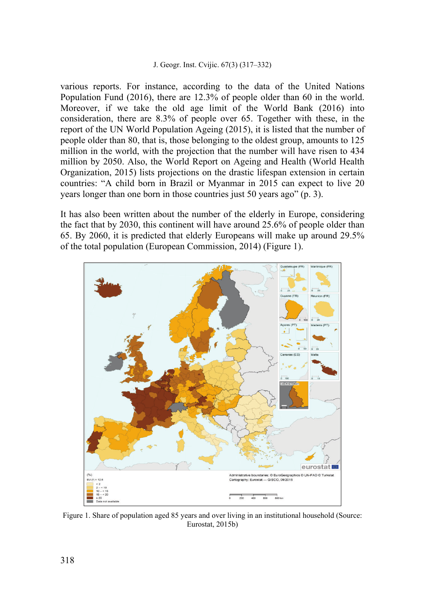various reports. For instance, according to the data of the United Nations Population Fund (2016), there are 12.3% of people older than 60 in the world. Moreover, if we take the old age limit of the World Bank (2016) into consideration, there are 8.3% of people over 65. Together with these, in the report of the UN World Population Ageing (2015), it is listed that the number of people older than 80, that is, those belonging to the oldest group, amounts to 125 million in the world, with the projection that the number will have risen to 434 million by 2050. Also, the World Report on Ageing and Health (World Health Organization, 2015) lists projections on the drastic lifespan extension in certain countries: "A child born in Brazil or Myanmar in 2015 can expect to live 20 years longer than one born in those countries just 50 years ago" (p. 3).

It has also been written about the number of the elderly in Europe, considering the fact that by 2030, this continent will have around 25.6% of people older than 65. By 2060, it is predicted that elderly Europeans will make up around 29.5% of the total population (European Commission, 2014) (Figure 1).



Figure 1. Share of population aged 85 years and over living in an institutional household (Source: Eurostat, 2015b)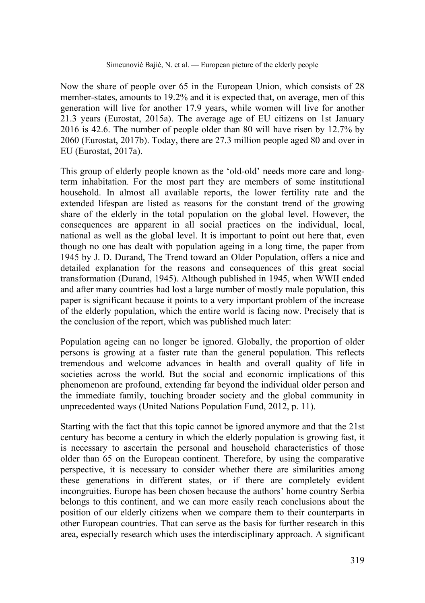Now the share of people over 65 in the European Union, which consists of 28 member-states, amounts to 19.2% and it is expected that, on average, men of this generation will live for another 17.9 years, while women will live for another 21.3 years (Eurostat, 2015a). The average age of EU citizens on 1st January 2016 is 42.6. The number of people older than 80 will have risen by 12.7% by 2060 (Eurostat, 2017b). Today, there are 27.3 million people aged 80 and over in EU (Eurostat, 2017a).

This group of elderly people known as the 'old-old' needs more care and longterm inhabitation. For the most part they are members of some institutional household. In almost all available reports, the lower fertility rate and the extended lifespan are listed as reasons for the constant trend of the growing share of the elderly in the total population on the global level. However, the consequences are apparent in all social practices on the individual, local, national as well as the global level. It is important to point out here that, even though no one has dealt with population ageing in a long time, the paper from 1945 by J. D. Durand, The Trend toward an Older Population, offers a nice and detailed explanation for the reasons and consequences of this great social transformation (Durand, 1945). Although published in 1945, when WWII ended and after many countries had lost a large number of mostly male population, this paper is significant because it points to a very important problem of the increase of the elderly population, which the entire world is facing now. Precisely that is the conclusion of the report, which was published much later:

Population ageing can no longer be ignored. Globally, the proportion of older persons is growing at a faster rate than the general population. This reflects tremendous and welcome advances in health and overall quality of life in societies across the world. But the social and economic implications of this phenomenon are profound, extending far beyond the individual older person and the immediate family, touching broader society and the global community in unprecedented ways (United Nations Population Fund, 2012, p. 11).

Starting with the fact that this topic cannot be ignored anymore and that the 21st century has become a century in which the elderly population is growing fast, it is necessary to ascertain the personal and household characteristics of those older than 65 on the European continent. Therefore, by using the comparative perspective, it is necessary to consider whether there are similarities among these generations in different states, or if there are completely evident incongruities. Europe has been chosen because the authors' home country Serbia belongs to this continent, and we can more easily reach conclusions about the position of our elderly citizens when we compare them to their counterparts in other European countries. That can serve as the basis for further research in this area, especially research which uses the interdisciplinary approach. A significant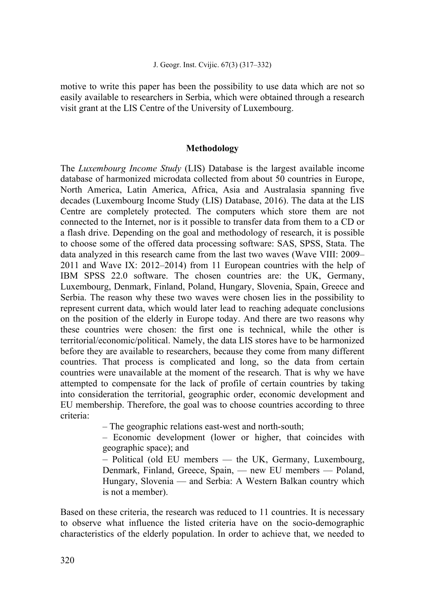motive to write this paper has been the possibility to use data which are not so easily available to researchers in Serbia, which were obtained through a research visit grant at the LIS Centre of the University of Luxembourg.

## **Methodology**

The *Luxembourg Income Study* (LIS) Database is the largest available income database of harmonized microdata collected from about 50 countries in Europe, North America, Latin America, Africa, Asia and Australasia spanning five decades (Luxembourg Income Study (LIS) Database, 2016). The data at the LIS Centre are completely protected. The computers which store them are not connected to the Internet, nor is it possible to transfer data from them to a CD or a flash drive. Depending on the goal and methodology of research, it is possible to choose some of the offered data processing software: SAS, SPSS, Stata. The data analyzed in this research came from the last two waves (Wave VIII: 2009– 2011 and Wave IX: 2012–2014) from 11 European countries with the help of IBM SPSS 22.0 software. The chosen countries are: the UK, Germany, Luxembourg, Denmark, Finland, Poland, Hungary, Slovenia, Spain, Greece and Serbia. The reason why these two waves were chosen lies in the possibility to represent current data, which would later lead to reaching adequate conclusions on the position of the elderly in Europe today. And there are two reasons why these countries were chosen: the first one is technical, while the other is territorial/economic/political. Namely, the data LIS stores have to be harmonized before they are available to researchers, because they come from many different countries. That process is complicated and long, so the data from certain countries were unavailable at the moment of the research. That is why we have attempted to compensate for the lack of profile of certain countries by taking into consideration the territorial, geographic order, economic development and EU membership. Therefore, the goal was to choose countries according to three criteria:

– The geographic relations east-west and north-south;

– Economic development (lower or higher, that coincides with geographic space); and

– Political (old EU members — the UK, Germany, Luxembourg, Denmark, Finland, Greece, Spain, — new EU members — Poland, Hungary, Slovenia — and Serbia: A Western Balkan country which is not a member).

Based on these criteria, the research was reduced to 11 countries. It is necessary to observe what influence the listed criteria have on the socio-demographic characteristics of the elderly population. In order to achieve that, we needed to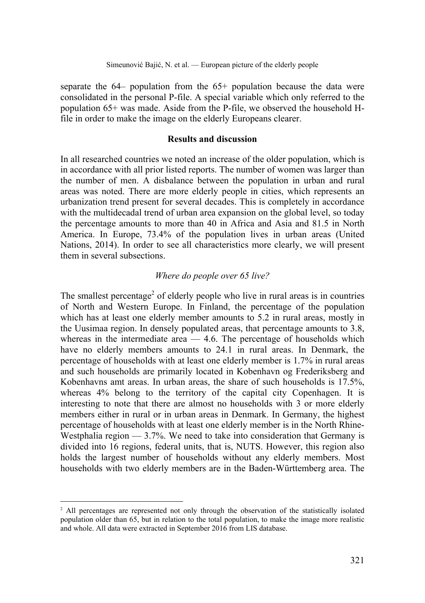separate the  $64-$  population from the  $65+$  population because the data were consolidated in the personal P-file. A special variable which only referred to the population 65+ was made. Aside from the P-file, we observed the household Hfile in order to make the image on the elderly Europeans clearer.

## **Results and discussion**

In all researched countries we noted an increase of the older population, which is in accordance with all prior listed reports. The number of women was larger than the number of men. A disbalance between the population in urban and rural areas was noted. There are more elderly people in cities, which represents an urbanization trend present for several decades. This is completely in accordance with the multidecadal trend of urban area expansion on the global level, so today the percentage amounts to more than 40 in Africa and Asia and 81.5 in North America. In Europe, 73.4% of the population lives in urban areas (United Nations, 2014). In order to see all characteristics more clearly, we will present them in several subsections.

## *Where do people over 65 live?*

The smallest percentage<sup>2</sup> of elderly people who live in rural areas is in countries of North and Western Europe. In Finland, the percentage of the population which has at least one elderly member amounts to 5.2 in rural areas, mostly in the Uusimaa region. In densely populated areas, that percentage amounts to 3.8, whereas in the intermediate area  $-4.6$ . The percentage of households which have no elderly members amounts to 24.1 in rural areas. In Denmark, the percentage of households with at least one elderly member is 1.7% in rural areas and such households are primarily located in Kobenhavn og Frederiksberg and Kobenhavns amt areas. In urban areas, the share of such households is 17.5%, whereas 4% belong to the territory of the capital city Copenhagen. It is interesting to note that there are almost no households with 3 or more elderly members either in rural or in urban areas in Denmark. In Germany, the highest percentage of households with at least one elderly member is in the North Rhine-Westphalia region  $-3.7\%$ . We need to take into consideration that Germany is divided into 16 regions, federal units, that is, NUTS. However, this region also holds the largest number of households without any elderly members. Most households with two elderly members are in the Baden-Württemberg area. The

 $\overline{a}$ 

<sup>&</sup>lt;sup>2</sup> All percentages are represented not only through the observation of the statistically isolated population older than 65, but in relation to the total population, to make the image more realistic and whole. All data were extracted in September 2016 from LIS database.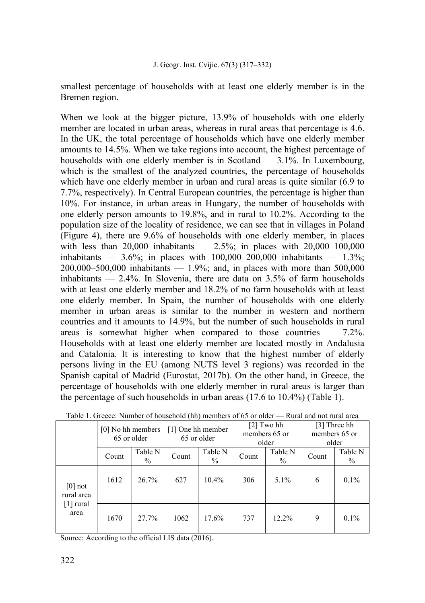smallest percentage of households with at least one elderly member is in the Bremen region.

When we look at the bigger picture, 13.9% of households with one elderly member are located in urban areas, whereas in rural areas that percentage is 4.6. In the UK, the total percentage of households which have one elderly member amounts to 14.5%. When we take regions into account, the highest percentage of households with one elderly member is in Scotland — 3.1%. In Luxembourg, which is the smallest of the analyzed countries, the percentage of households which have one elderly member in urban and rural areas is quite similar (6.9 to 7.7%, respectively). In Central European countries, the percentage is higher than 10%. For instance, in urban areas in Hungary, the number of households with one elderly person amounts to 19.8%, and in rural to 10.2%. According to the population size of the locality of residence, we can see that in villages in Poland (Figure 4), there are 9.6% of households with one elderly member, in places with less than  $20,000$  inhabitants —  $2.5\%$ ; in places with  $20,000-100,000$ inhabitants — 3.6%; in places with  $100,000-200,000$  inhabitants — 1.3%; 200,000–500,000 inhabitants — 1.9%; and, in places with more than 500,000 inhabitants  $-2.4\%$ . In Slovenia, there are data on 3.5% of farm households with at least one elderly member and 18.2% of no farm households with at least one elderly member. In Spain, the number of households with one elderly member in urban areas is similar to the number in western and northern countries and it amounts to 14.9%, but the number of such households in rural areas is somewhat higher when compared to those countries — 7.2%. Households with at least one elderly member are located mostly in Andalusia and Catalonia. It is interesting to know that the highest number of elderly persons living in the EU (among NUTS level 3 regions) was recorded in the Spanish capital of Madrid (Eurostat, 2017b). On the other hand, in Greece, the percentage of households with one elderly member in rural areas is larger than the percentage of such households in urban areas (17.6 to 10.4%) (Table 1).

|                                                            | [0] No hh members<br>65 or older |                 | [1] One hh member<br>65 or older |                          | $[2]$ Two hh<br>members 65 or<br>older |                 | [3] Three hh<br>members 65 or<br>older |                 |
|------------------------------------------------------------|----------------------------------|-----------------|----------------------------------|--------------------------|----------------------------------------|-----------------|----------------------------------------|-----------------|
|                                                            | Count                            | Table N<br>$\%$ | Count                            | Table N<br>$\frac{0}{0}$ | Count                                  | Table N<br>$\%$ | Count                                  | Table N<br>$\%$ |
| $[0]$ not<br>rural area<br>$\lceil 1 \rceil$ rural<br>area | 1612                             | 26.7%           | 627                              | 10.4%                    | 306                                    | $5.1\%$         | 6                                      | $0.1\%$         |
|                                                            | 1670                             | 27.7%           | 1062                             | 17.6%                    | 737                                    | $12.2\%$        | 9                                      | $0.1\%$         |

|  | Table 1. Greece: Number of household (hh) members of 65 or older — Rural and not rural area |
|--|---------------------------------------------------------------------------------------------|
|--|---------------------------------------------------------------------------------------------|

Source: According to the official LIS data (2016).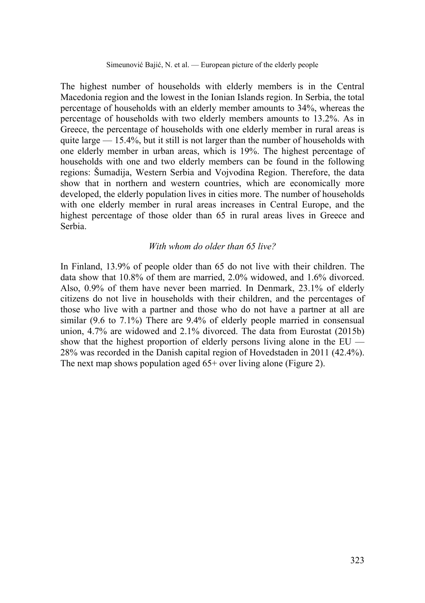The highest number of households with elderly members is in the Central Macedonia region and the lowest in the Ionian Islands region. In Serbia, the total percentage of households with an elderly member amounts to 34%, whereas the percentage of households with two elderly members amounts to 13.2%. As in Greece, the percentage of households with one elderly member in rural areas is quite large  $-15.4\%$ , but it still is not larger than the number of households with one elderly member in urban areas, which is 19%. The highest percentage of households with one and two elderly members can be found in the following regions: Šumadija, Western Serbia and Vojvodina Region. Therefore, the data show that in northern and western countries, which are economically more developed, the elderly population lives in cities more. The number of households with one elderly member in rural areas increases in Central Europe, and the highest percentage of those older than 65 in rural areas lives in Greece and Serbia.

# *With whom do older than 65 live?*

In Finland, 13.9% of people older than 65 do not live with their children. The data show that 10.8% of them are married, 2.0% widowed, and 1.6% divorced. Also, 0.9% of them have never been married. In Denmark, 23.1% of elderly citizens do not live in households with their children, and the percentages of those who live with a partner and those who do not have a partner at all are similar (9.6 to 7.1%) There are 9.4% of elderly people married in consensual union, 4.7% are widowed and 2.1% divorced. The data from Eurostat (2015b) show that the highest proportion of elderly persons living alone in the EU — 28% was recorded in the Danish capital region of Hovedstaden in 2011 (42.4%). The next map shows population aged  $65+$  over living alone (Figure 2).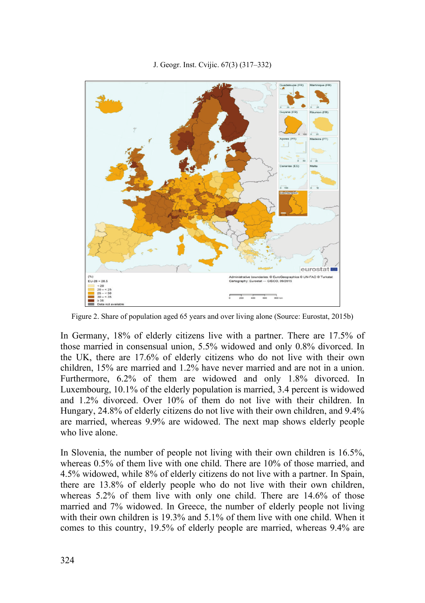

Figure 2. Share of population aged 65 years and over living alone (Source: Eurostat, 2015b)

In Germany, 18% of elderly citizens live with a partner. There are 17.5% of those married in consensual union, 5.5% widowed and only 0.8% divorced. In the UK, there are 17.6% of elderly citizens who do not live with their own children, 15% are married and 1.2% have never married and are not in a union. Furthermore, 6.2% of them are widowed and only 1.8% divorced. In Luxembourg, 10.1% of the elderly population is married, 3.4 percent is widowed and 1.2% divorced. Over 10% of them do not live with their children. In Hungary, 24.8% of elderly citizens do not live with their own children, and 9.4% are married, whereas 9.9% are widowed. The next map shows elderly people who live alone.

In Slovenia, the number of people not living with their own children is 16.5%, whereas 0.5% of them live with one child. There are 10% of those married, and 4.5% widowed, while 8% of elderly citizens do not live with a partner. In Spain, there are 13.8% of elderly people who do not live with their own children, whereas 5.2% of them live with only one child. There are 14.6% of those married and 7% widowed. In Greece, the number of elderly people not living with their own children is 19.3% and 5.1% of them live with one child. When it comes to this country, 19.5% of elderly people are married, whereas 9.4% are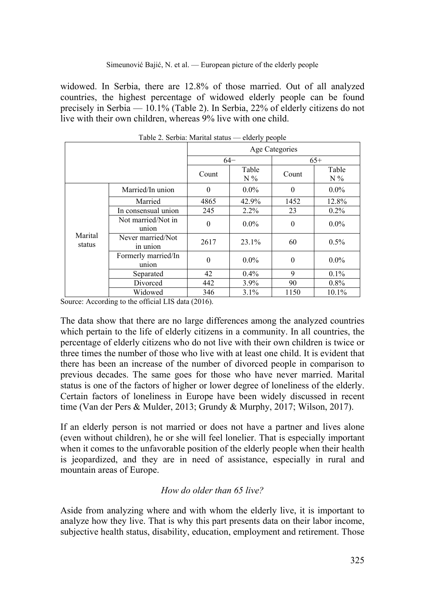widowed. In Serbia, there are 12.8% of those married. Out of all analyzed countries, the highest percentage of widowed elderly people can be found precisely in Serbia — 10.1% (Table 2). In Serbia, 22% of elderly citizens do not live with their own children, whereas 9% live with one child.

|                   |                               | Age Categories   |                |          |                |  |
|-------------------|-------------------------------|------------------|----------------|----------|----------------|--|
|                   |                               |                  | $64-$          | $65+$    |                |  |
|                   |                               | Count            | Table<br>$N\%$ | Count    | Table<br>$N\%$ |  |
| Marital<br>status | Married/In union              | $\theta$         | $0.0\%$        | $\theta$ | $0.0\%$        |  |
|                   | Married                       | 4865             | 42.9%          | 1452     | 12.8%          |  |
|                   | In consensual union           | 245              | $2.2\%$        | 23       | $0.2\%$        |  |
|                   | Not married/Not in<br>union   | $\mathbf{0}$     | $0.0\%$        | $\theta$ | $0.0\%$        |  |
|                   | Never married/Not<br>in union | 2617             | 23.1%          | 60       | $0.5\%$        |  |
|                   | Formerly married/In<br>union  | $\boldsymbol{0}$ | $0.0\%$        | $\Omega$ | $0.0\%$        |  |
|                   | Separated                     | 42               | 0.4%           | 9        | $0.1\%$        |  |
|                   | Divorced                      | 442              | 3.9%           | 90       | $0.8\%$        |  |
|                   | Widowed                       | 346              | 3.1%           | 1150     | 10.1%          |  |

Table 2. Serbia: Marital status — elderly people

Source: According to the official LIS data (2016).

The data show that there are no large differences among the analyzed countries which pertain to the life of elderly citizens in a community. In all countries, the percentage of elderly citizens who do not live with their own children is twice or three times the number of those who live with at least one child. It is evident that there has been an increase of the number of divorced people in comparison to previous decades. The same goes for those who have never married. Marital status is one of the factors of higher or lower degree of loneliness of the elderly. Certain factors of loneliness in Europe have been widely discussed in recent time (Van der Pers & Mulder, 2013; Grundy & Murphy, 2017; Wilson, 2017).

If an elderly person is not married or does not have a partner and lives alone (even without children), he or she will feel lonelier. That is especially important when it comes to the unfavorable position of the elderly people when their health is jeopardized, and they are in need of assistance, especially in rural and mountain areas of Europe.

# *How do older than 65 live?*

Aside from analyzing where and with whom the elderly live, it is important to analyze how they live. That is why this part presents data on their labor income, subjective health status, disability, education, employment and retirement. Those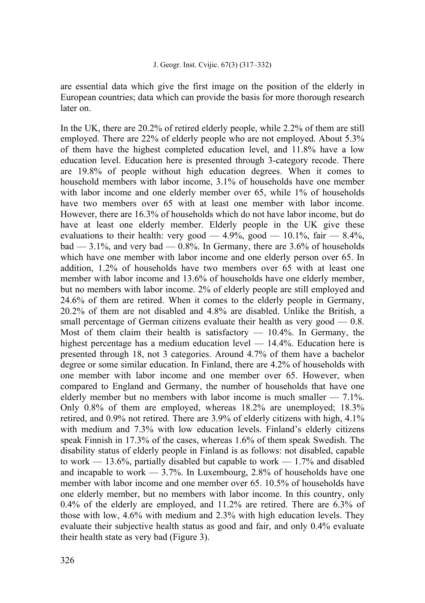are essential data which give the first image on the position of the elderly in European countries; data which can provide the basis for more thorough research later on.

In the UK, there are 20.2% of retired elderly people, while 2.2% of them are still employed. There are 22% of elderly people who are not employed. About 5.3% of them have the highest completed education level, and 11.8% have a low education level. Education here is presented through 3-category recode. There are 19.8% of people without high education degrees. When it comes to household members with labor income, 3.1% of households have one member with labor income and one elderly member over 65, while 1% of households have two members over 65 with at least one member with labor income. However, there are 16.3% of households which do not have labor income, but do have at least one elderly member. Elderly people in the UK give these evaluations to their health: very good  $-4.9\%$ , good  $-10.1\%$ , fair  $-8.4\%$ , bad  $-3.1\%$ , and very bad  $-0.8\%$ . In Germany, there are 3.6% of households which have one member with labor income and one elderly person over 65. In addition, 1.2% of households have two members over 65 with at least one member with labor income and 13.6% of households have one elderly member, but no members with labor income. 2% of elderly people are still employed and 24.6% of them are retired. When it comes to the elderly people in Germany, 20.2% of them are not disabled and 4.8% are disabled. Unlike the British, a small percentage of German citizens evaluate their health as very good — 0.8. Most of them claim their health is satisfactory  $-10.4\%$ . In Germany, the highest percentage has a medium education level — 14.4%. Education here is presented through 18, not 3 categories. Around 4.7% of them have a bachelor degree or some similar education. In Finland, there are 4.2% of households with one member with labor income and one member over 65. However, when compared to England and Germany, the number of households that have one elderly member but no members with labor income is much smaller — 7.1%. Only 0.8% of them are employed, whereas 18.2% are unemployed; 18.3% retired, and 0.9% not retired. There are 3.9% of elderly citizens with high, 4.1% with medium and 7.3% with low education levels. Finland's elderly citizens speak Finnish in 17.3% of the cases, whereas 1.6% of them speak Swedish. The disability status of elderly people in Finland is as follows: not disabled, capable to work — 13.6%, partially disabled but capable to work — 1.7% and disabled and incapable to work — 3.7%. In Luxembourg, 2.8% of households have one member with labor income and one member over 65. 10.5% of households have one elderly member, but no members with labor income. In this country, only 0.4% of the elderly are employed, and 11.2% are retired. There are 6.3% of those with low, 4.6% with medium and 2.3% with high education levels. They evaluate their subjective health status as good and fair, and only 0.4% evaluate their health state as very bad (Figure 3).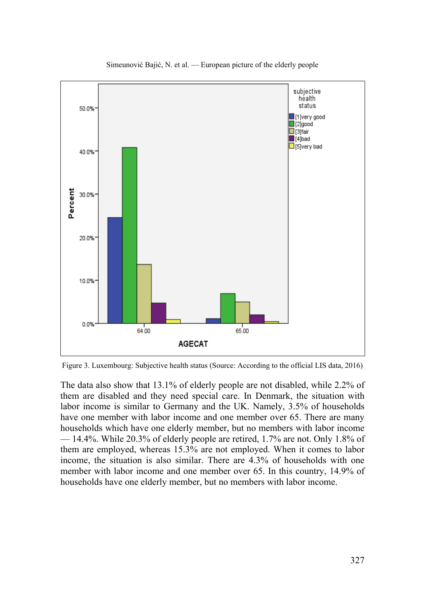

Simeunović Bajić, N. et al. — European picture of the elderly people

Figure 3. Luxembourg: Subjective health status (Source: According to the official LIS data, 2016)

The data also show that 13.1% of elderly people are not disabled, while 2.2% of them are disabled and they need special care. In Denmark, the situation with labor income is similar to Germany and the UK. Namely, 3.5% of households have one member with labor income and one member over 65. There are many households which have one elderly member, but no members with labor income — 14.4%. While 20.3% of elderly people are retired, 1.7% are not. Only 1.8% of them are employed, whereas 15.3% are not employed. When it comes to labor income, the situation is also similar. There are 4.3% of households with one member with labor income and one member over 65. In this country, 14.9% of households have one elderly member, but no members with labor income.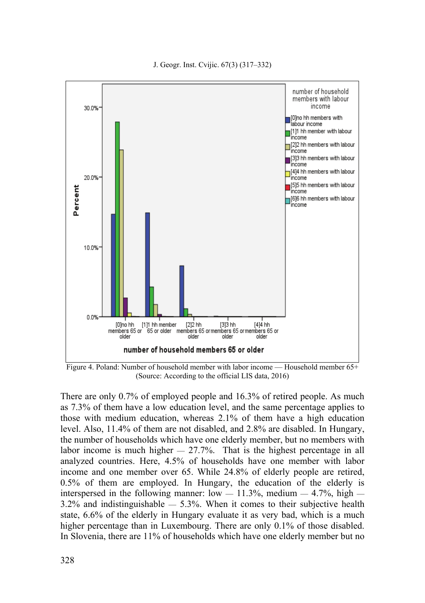

Figure 4. Poland: Number of household member with labor income — Household member 65+ (Source: According to the official LIS data, 2016)

There are only 0.7% of employed people and 16.3% of retired people. As much as 7.3% of them have a low education level, and the same percentage applies to those with medium education, whereas 2.1% of them have a high education level. Also, 11.4% of them are not disabled, and 2.8% are disabled. In Hungary, the number of households which have one elderly member, but no members with labor income is much higher  $= 27.7\%$ . That is the highest percentage in all analyzed countries. Here, 4.5% of households have one member with labor income and one member over 65. While 24.8% of elderly people are retired, 0.5% of them are employed. In Hungary, the education of the elderly is interspersed in the following manner: low  $-11.3\%$ , medium  $-4.7\%$ , high  $-$ 3.2% and indistinguishable — 5.3%. When it comes to their subjective health state, 6.6% of the elderly in Hungary evaluate it as very bad, which is a much higher percentage than in Luxembourg. There are only 0.1% of those disabled. In Slovenia, there are 11% of households which have one elderly member but no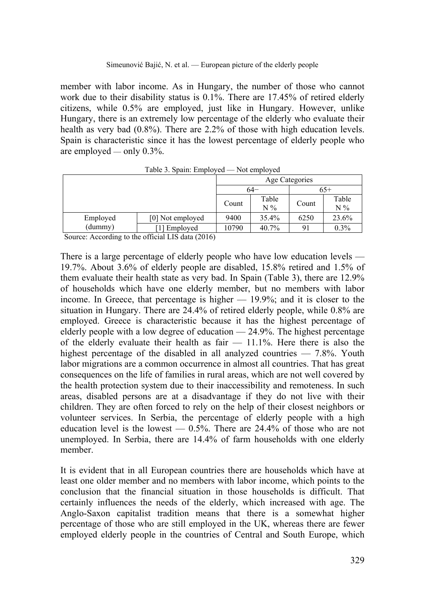member with labor income. As in Hungary, the number of those who cannot work due to their disability status is 0.1%. There are 17.45% of retired elderly citizens, while 0.5% are employed, just like in Hungary. However, unlike Hungary, there is an extremely low percentage of the elderly who evaluate their health as very bad (0.8%). There are 2.2% of those with high education levels. Spain is characteristic since it has the lowest percentage of elderly people who are employed — only 0.3%.

|          | Age Categories   |       |       |                |         |
|----------|------------------|-------|-------|----------------|---------|
|          |                  |       | 64–   |                | $o5+$   |
|          |                  | Count | Table | Count          | Table   |
|          |                  |       | $N\%$ |                | $N\%$   |
| Employed | [0] Not employed | 9400  | 35.4% | 6250           | 23.6%   |
| (dummy)  | [1] Employed     | 10790 | 40.7% | 9 <sub>1</sub> | $0.3\%$ |

Table 3. Spain: Employed — Not employed

Source: According to the official LIS data (2016)

There is a large percentage of elderly people who have low education levels — 19.7%. About 3.6% of elderly people are disabled, 15.8% retired and 1.5% of them evaluate their health state as very bad. In Spain (Table 3), there are 12.9% of households which have one elderly member, but no members with labor income. In Greece, that percentage is higher — 19.9%; and it is closer to the situation in Hungary. There are 24.4% of retired elderly people, while 0.8% are employed. Greece is characteristic because it has the highest percentage of elderly people with a low degree of education — 24.9%. The highest percentage of the elderly evaluate their health as fair  $-11.1\%$ . Here there is also the highest percentage of the disabled in all analyzed countries — 7.8%. Youth labor migrations are a common occurrence in almost all countries. That has great consequences on the life of families in rural areas, which are not well covered by the health protection system due to their inaccessibility and remoteness. In such areas, disabled persons are at a disadvantage if they do not live with their children. They are often forced to rely on the help of their closest neighbors or volunteer services. In Serbia, the percentage of elderly people with a high education level is the lowest  $-0.5%$ . There are 24.4% of those who are not unemployed. In Serbia, there are 14.4% of farm households with one elderly member.

It is evident that in all European countries there are households which have at least one older member and no members with labor income, which points to the conclusion that the financial situation in those households is difficult. That certainly influences the needs of the elderly, which increased with age. The Anglo-Saxon capitalist tradition means that there is a somewhat higher percentage of those who are still employed in the UK, whereas there are fewer employed elderly people in the countries of Central and South Europe, which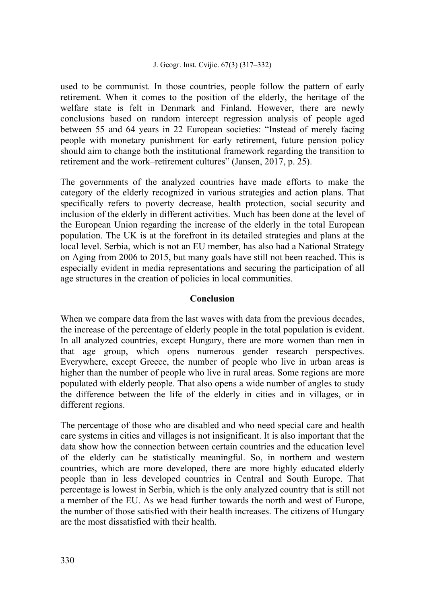used to be communist. In those countries, people follow the pattern of early retirement. When it comes to the position of the elderly, the heritage of the welfare state is felt in Denmark and Finland. However, there are newly conclusions based on random intercept regression analysis of people aged between 55 and 64 years in 22 European societies: "Instead of merely facing people with monetary punishment for early retirement, future pension policy should aim to change both the institutional framework regarding the transition to retirement and the work–retirement cultures" (Jansen, 2017, p. 25).

The governments of the analyzed countries have made efforts to make the category of the elderly recognized in various strategies and action plans. That specifically refers to poverty decrease, health protection, social security and inclusion of the elderly in different activities. Much has been done at the level of the European Union regarding the increase of the elderly in the total European population. The UK is at the forefront in its detailed strategies and plans at the local level. Serbia, which is not an EU member, has also had a National Strategy on Aging from 2006 to 2015, but many goals have still not been reached. This is especially evident in media representations and securing the participation of all age structures in the creation of policies in local communities.

# **Conclusion**

When we compare data from the last waves with data from the previous decades, the increase of the percentage of elderly people in the total population is evident. In all analyzed countries, except Hungary, there are more women than men in that age group, which opens numerous gender research perspectives. Everywhere, except Greece, the number of people who live in urban areas is higher than the number of people who live in rural areas. Some regions are more populated with elderly people. That also opens a wide number of angles to study the difference between the life of the elderly in cities and in villages, or in different regions.

The percentage of those who are disabled and who need special care and health care systems in cities and villages is not insignificant. It is also important that the data show how the connection between certain countries and the education level of the elderly can be statistically meaningful. So, in northern and western countries, which are more developed, there are more highly educated elderly people than in less developed countries in Central and South Europe. That percentage is lowest in Serbia, which is the only analyzed country that is still not a member of the EU. As we head further towards the north and west of Europe, the number of those satisfied with their health increases. The citizens of Hungary are the most dissatisfied with their health.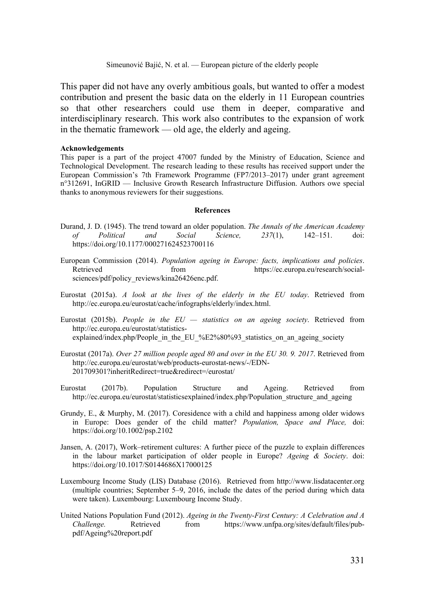This paper did not have any overly ambitious goals, but wanted to offer a modest contribution and present the basic data on the elderly in 11 European countries so that other researchers could use them in deeper, comparative and interdisciplinary research. This work also contributes to the expansion of work in the thematic framework — old age, the elderly and ageing.

#### **Acknowledgements**

This paper is a part of the project 47007 funded by the Ministry of Education, Science and Technological Development. The research leading to these results has received support under the European Commission's 7th Framework Programme (FP7/2013–2017) under grant agreement n°312691, InGRID — Inclusive Growth Research Infrastructure Diffusion. Authors owe special thanks to anonymous reviewers for their suggestions.

#### **References**

- Durand, J. D. (1945). The trend toward an older population. *The Annals of the American Academy of Political and Social Science, 237*(1), 142–151. doi: https://doi.org/10.1177/000271624523700116
- European Commission (2014). *Population ageing in Europe: facts, implications and policies*. Retrieved from https://ec.europa.eu/research/socialsciences/pdf/policy\_reviews/kina26426enc.pdf.
- Eurostat (2015a). *A look at the lives of the elderly in the EU today*. Retrieved from http://ec.europa.eu/eurostat/cache/infographs/elderly/index.html.
- Eurostat (2015b). *People in the EU statistics on an ageing society*. Retrieved from http://ec.europa.eu/eurostat/statisticsexplained/index.php/People\_in\_the\_EU\_%E2%80%93\_statistics\_on\_an\_ageing\_society
- Eurostat (2017a). *Over 27 million people aged 80 and over in the EU 30. 9. 2017*. Retrieved from http://ec.europa.eu/eurostat/web/products-eurostat-news/-/EDN-201709301?inheritRedirect=true&redirect=/eurostat/
- Eurostat (2017b). Population Structure and Ageing. Retrieved from http://ec.europa.eu/eurostat/statisticsexplained/index.php/Population\_structure\_and\_ageing
- Grundy, E., & Murphy, M. (2017). Coresidence with a child and happiness among older widows in Europe: Does gender of the child matter? *Population, Space and Place,* doi: https://doi.org/10.1002/psp.2102
- Jansen, A. (2017), Work–retirement cultures: A further piece of the puzzle to explain differences in the labour market participation of older people in Europe? *Ageing & Society*. doi: https://doi.org/10.1017/S0144686X17000125
- Luxembourg Income Study (LIS) Database (2016). Retrieved from http://www.lisdatacenter.org (multiple countries; September 5–9, 2016, include the dates of the period during which data were taken). Luxembourg: Luxembourg Income Study.
- United Nations Population Fund (2012). *Ageing in the Twenty-First Century: A Celebration and A Challenge.* Retrieved from https://www.unfpa.org/sites/default/files/pubpdf/Ageing%20report.pdf